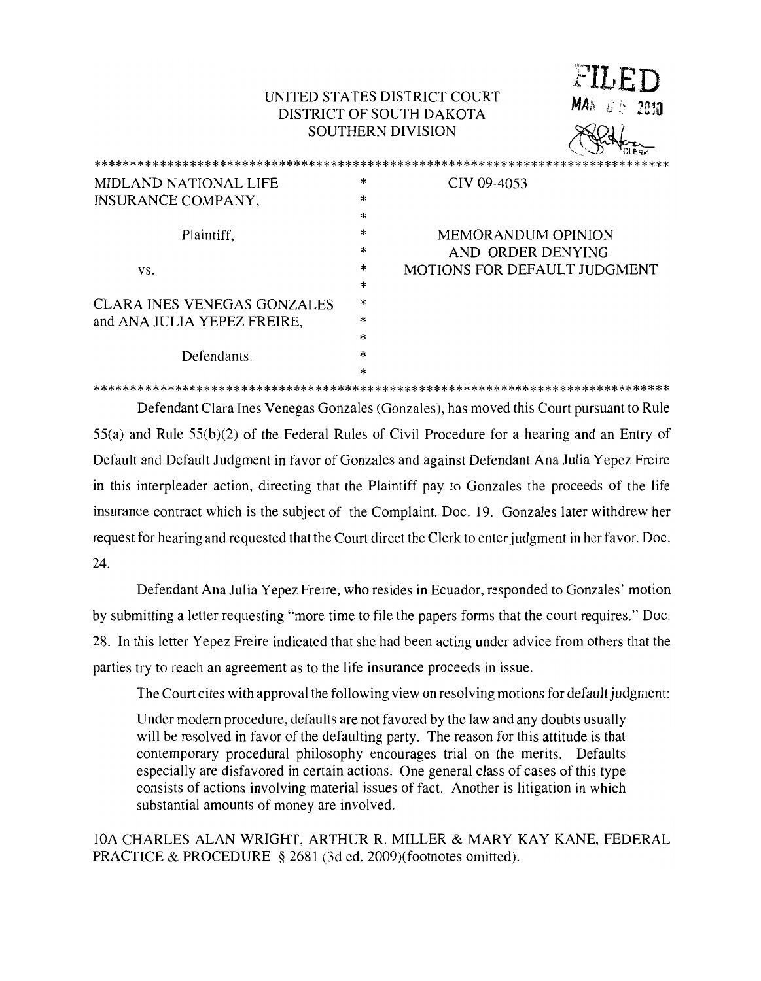## UNITED STATES DISTRICT COURT DISTRICT OF SOUTH DAKOTA **SOUTHERN DIVISION**

 $MAA \quad U \quad S = 2030$ 

| <b>MIDLAND NATIONAL LIFE</b>       | *      | CIV 09-4053                  |
|------------------------------------|--------|------------------------------|
| INSURANCE COMPANY,                 | *      |                              |
|                                    | *      |                              |
| Plaintiff,                         | *      | <b>MEMORANDUM OPINION</b>    |
|                                    | $\ast$ | AND ORDER DENYING            |
| VS.                                | $\ast$ | MOTIONS FOR DEFAULT JUDGMENT |
|                                    | *      |                              |
| <b>CLARA INES VENEGAS GONZALES</b> | $\ast$ |                              |
| and ANA JULIA YEPEZ FREIRE,        | $\ast$ |                              |
|                                    | $\ast$ |                              |
| Defendants.                        | *      |                              |
|                                    | $\ast$ |                              |

Defendant Clara Ines Venegas Gonzales (Gonzales), has moved this Court pursuant to Rule  $55(a)$  and Rule  $55(b)(2)$  of the Federal Rules of Civil Procedure for a hearing and an Entry of Default and Default Judgment in favor of Gonzales and against Defendant Ana Julia Yepez Freire in this interpleader action, directing that the Plaintiff pay to Gonzales the proceeds of the life insurance contract which is the subject of the Complaint. Doc. 19. Gonzales later withdrew her request for hearing and requested that the Court direct the Clerk to enter judgment in her favor. Doc. 24.

Defendant Ana Julia Yepez Freire, who resides in Ecuador, responded to Gonzales' motion by submitting a letter requesting "more time to file the papers forms that the court requires." Doc. 28. In this letter Yepez Freire indicated that she had been acting under advice from others that the parties try to reach an agreement as to the life insurance proceeds in issue.

The Court cites with approval the following view on resolving motions for default judgment:

Under modern procedure, defaults are not favored by the law and any doubts usually will be resolved in favor of the defaulting party. The reason for this attitude is that contemporary procedural philosophy encourages trial on the merits. Defaults especially are disfavored in certain actions. One general class of cases of this type consists of actions involving material issues of fact. Another is litigation in which substantial amounts of money are involved.

10A CHARLES ALAN WRIGHT, ARTHUR R. MILLER & MARY KAY KANE, FEDERAL PRACTICE & PROCEDURE § 2681 (3d ed. 2009)(footnotes omitted).